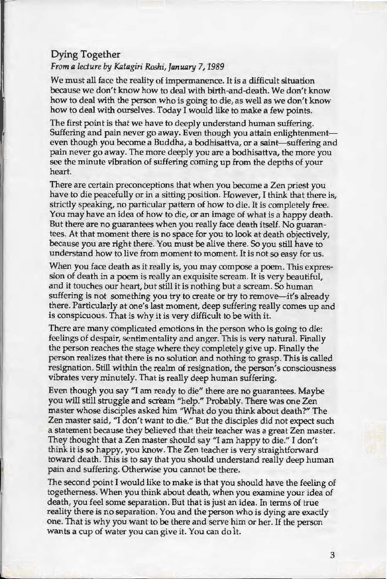## Dying Together

## *From a lecture by Katagiri Roshi, January* 7, *1989*

We must all face the reality of impermanence. It is a difficult situation because we don't know how to deal with birth-and-death. We don't know how to deal with the person who is going to die, as well as we don't know how to deal with ourselves. Today I would like to make a few points.

The first point is that we have to deeply understand human suffering. Suffering and pain never go away. Even though you attain enlightenmenteven though you become a Buddha, a bodhisattva, or a saint-suffering and pain never go away. The more deeply you are a bodhisattva, the more you see the minute vibration of suffering coming up from the depths of your heart.

There are certain preconceptions that when you become a Zen priest you have to die peacefully or in a sitting position. However, I think that there is, strictly speaking, no particular pattern of how to die. It is completely free. You may have an idea of how to die, or an image of what is a happy death. But there are no guarantees when you really face death itself. No guarantees. At that moment there is no space for you to look at death objectively, because you are right there. You must be alive there. So you still have to understand how to live from moment to moment. It is not so easy for us.

When you face death as it really is, you may compose a poem. This expression of death in a poem is really an exquisite scream. It is very beautiful, and it touches our heart, but still it is nothing but a scream. So human suffering is not something you try to create or try to remove-it's already there. Particularly at one's last moment, deep suffering really comes up and is conspicuous. That is why it is very difficult to be with it.

There are many complicated emotions in the person who is going to die: feelings of despair, sentimentality and anger. This is very natural. Finally the person reaches the stage where they completely give up. Finally the person realizes that there is no solution and nothing to grasp. This is called resignation. Still within the realm of resignation, the person's consciousness vibrates very minutely. That is really deep human suffering.

Even though you say ''I am ready to die" there are no guarantees. Maybe you will still struggle and scream ''help." Probably. There was one Zen master whose disciples asked him 'What do you think about death?" The Zen master said, '1 don't want to die." But the disciples did not expect such a statement because they believed that their teacher was a great Zen master. They thought that a Zen master should say "I am happy to die." I don't think it is so happy, you know. The Zen teacher is very straightforward toward death. This is to say that you should understand really deep human pain and suffering. Otherwise you cannot be there.

The second point I would like to make is that you should have the feeling of togetherness. When you think about death, when you examine your idea of death, you feel some separation. But that is just an idea. In terms of true reality there is no separation. You and the person who is dying are exactly one. That is why you want to be there and serve him or her. If the person wants a cup of water you can give it. You can do it.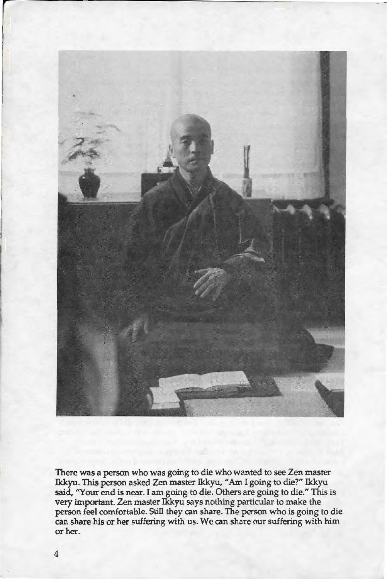

There was a person who was going to die who wanted to see Zen master Ikkyu. This person asked Zen master Ikkyu, "Am I going to die?" Ikkyu said, "Your end is near. I am going to die. Others are going to die." This is very important. Zen master Ikkyu says nothing particular to make the person feel comfortable. Still they can share. The person who is going to die can share his or her suffering with us. We can share our suffering with him or her.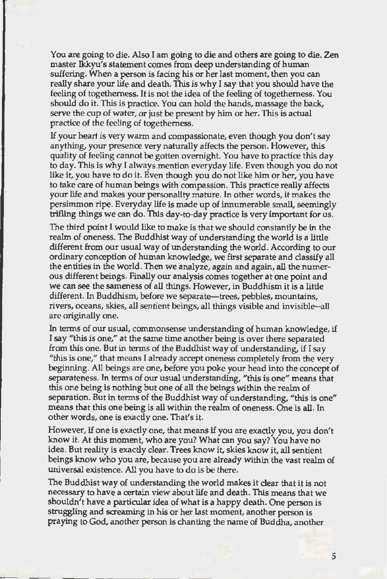You are going to die. Also I am going to die and others are going to die. Zen master Ikkyu's statement comes from deep understanding of human suffering. When a person is facing his or her last moment, then you can really share your life and death. This is why I say that you should have the feeling of togetherness. It is not the idea of the feeling of togetherness. You should do it. This is practice. You can hold the hands, massage the back, serve the cup of water, or just be present by him or her. This is actual practice of the feeling of togetherness.

H your heart is very warm and compassionate, even though you don't say anything, your presence very naturally affects the person. However, this quality of feeling cannot be gotten overnight. You have to practice this day to day. This is why I always mention everyday life. Even though you do not like it, you have to do it. Even though you do not like him or her, you have to take care of human beings with compassion. This practice really affects your life and makes your personality mature. In other words, it makes the persimmon ripe. Everyday life is made up of innumerable small, seemingly trifling things we can do. This day-to-day practice is very important for us.

I·

The third point I would like to make is that we should constantly be in the realm of oneness. The Buddhist way of understanding the world is a little different from our usual way of understanding the world. According to our ordinary conception of human knowledge, we first separate and classify all the entities in the world. Then we analyze, again and again, all the numerous different beings. Finally our analysis comes together at one point and we can see the sameness of all things. However, in Buddhism it is a little different. In Buddhism, before we separate—trees, pebbles, mountains, rivers, oceans, skies, all sentient beings, all things visible and invisible-all are originally one.

In terms of our usual, commonsense understanding of human knowledge, if I say "this is one," at the same time another being is over there separated from this one. But in terms of the Buddhist way of understanding, if I say "this is one," that means I already accept oneness completely from the very beginning. All beings are one, before you poke your head into the concept of separateness. In terms of our usual understanding, "this is one" means that this one being is nothing but one of all the beings within the realm of separation. But in terms of the Buddhist way of understanding, "this is one" means that this one being is all within the realm of oneness. One is all. In other words, one is exactly one. That's it.

However, if one is exactly one, that means if you are exactly you, you don't know it. At this moment, who are you? What can you say? You have no idea. But reality is exactly clear. Trees know it, skies know it, all sentient beings know who you are, because you are already within the vast realm of universal existence. All you have to do is be there.

The Buddhist way of understanding the world makes it clear that it is not necessary to have a certain view about life and death. This means that we shouldn't have a particular idea of what is a happy death. One person is struggling and screaming in his or her last moment, another person is praying to God, another person is chanting the name of Buddha, another

5